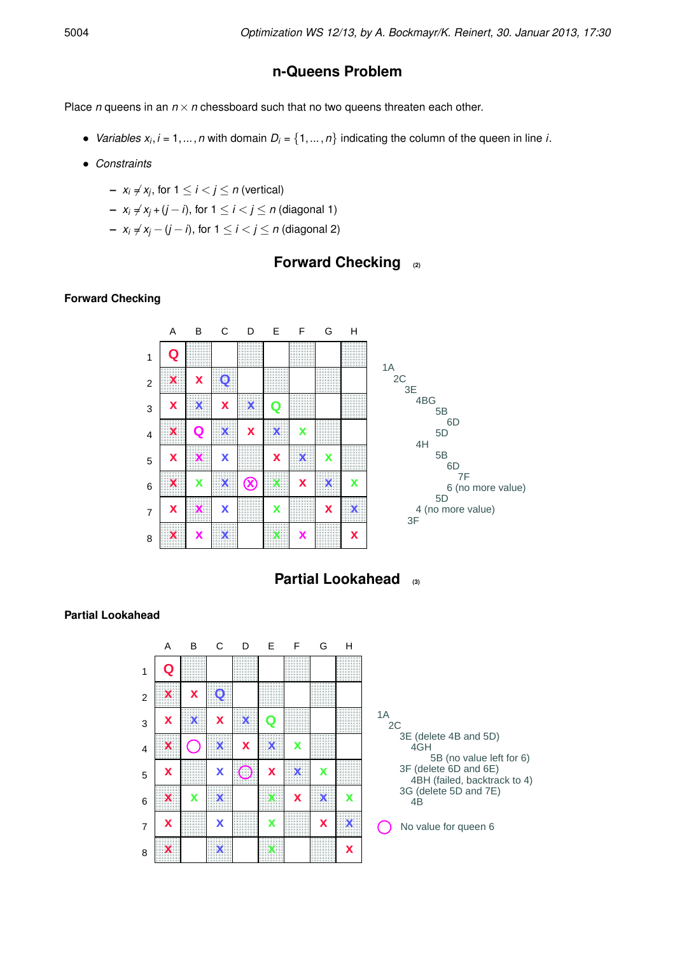## **n-Queens Problem**

Place  $n$  queens in an  $n \times n$  chessboard such that no two queens threaten each other.

- *Variables*  $x_i$ *, i* = 1, ..., *n* with domain  $D_i = \{1, ..., n\}$  indicating the column of the queen in line *i*.
- *Constraints*
	- $-$  *x<sub>i</sub>*  $\neq$  *x<sub>j</sub>*, for 1  $\leq$  *i*  $\lt$  *j*  $\leq$  *n* (vertical)
	- **−**  $x_i \neq x_j + (j i)$ , for  $1 \leq i < j \leq n$  (diagonal 1)
	- **−**  $x_i \neq x_i (j i)$ , for  $1 \leq i < j \leq n$  (diagonal 2)

## **Forward Checking (2)**

#### **Forward Checking**



**Partial Lookahead (3)**

#### **Partial Lookahead**

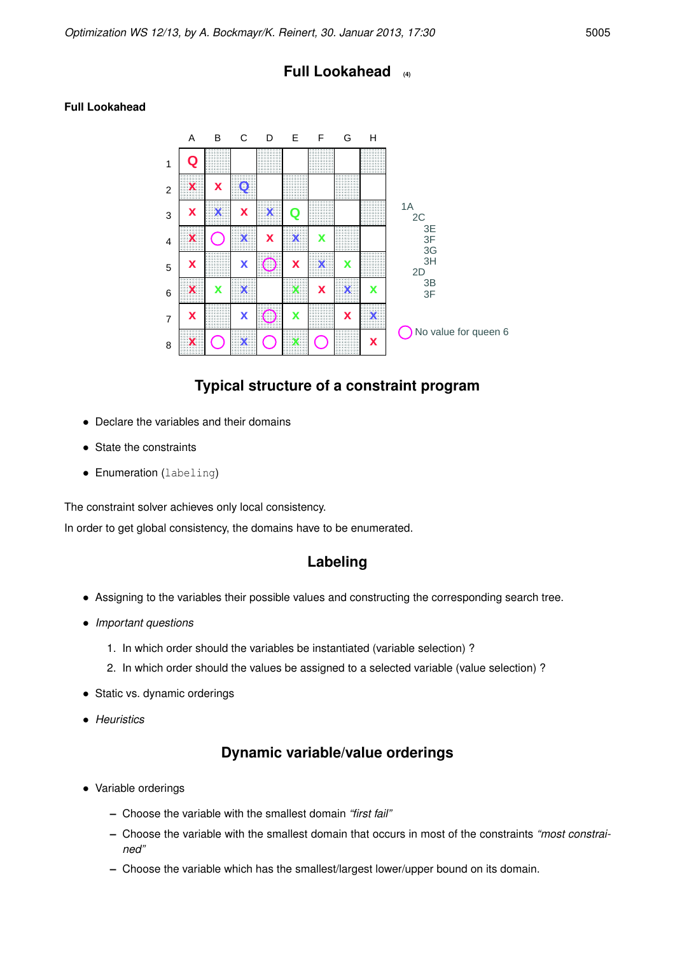### **Full Lookahead (4)**



#### **Full Lookahead**

### **Typical structure of a constraint program**

- Declare the variables and their domains
- State the constraints
- Enumeration (labeling)

The constraint solver achieves only local consistency.

In order to get global consistency, the domains have to be enumerated.

#### **Labeling**

- Assigning to the variables their possible values and constructing the corresponding search tree.
- *Important questions*
	- 1. In which order should the variables be instantiated (variable selection) ?
	- 2. In which order should the values be assigned to a selected variable (value selection) ?
- Static vs. dynamic orderings
- *Heuristics*

## **Dynamic variable/value orderings**

- Variable orderings
	- **–** Choose the variable with the smallest domain *"first fail"*
	- **–** Choose the variable with the smallest domain that occurs in most of the constraints *"most constrained"*
	- **–** Choose the variable which has the smallest/largest lower/upper bound on its domain.